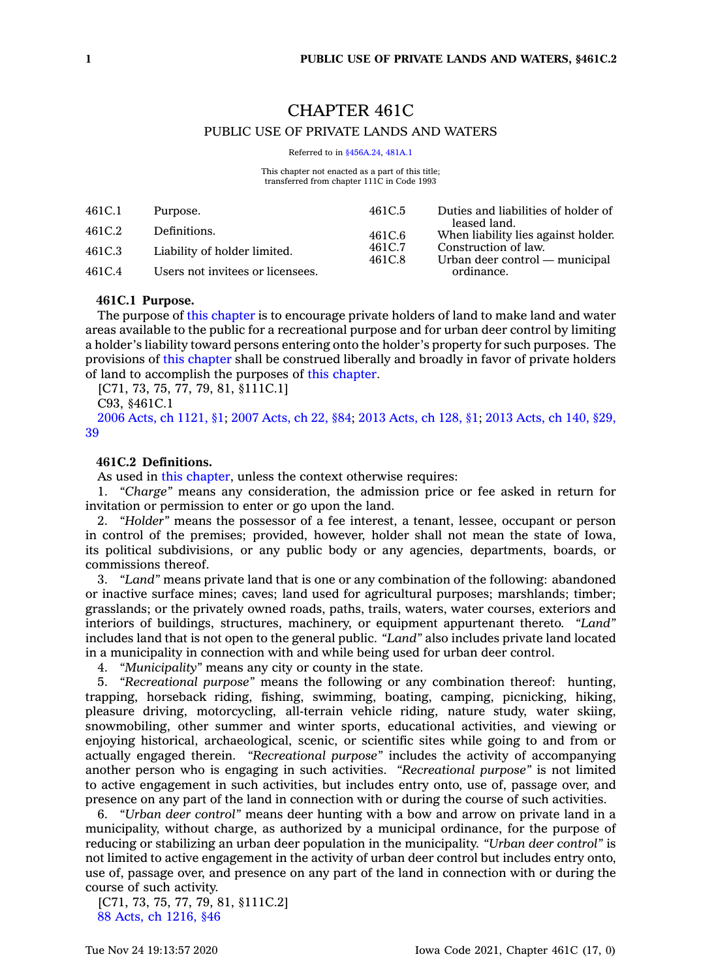# CHAPTER 461C

# PUBLIC USE OF PRIVATE LANDS AND WATERS

Referred to in [§456A.24](https://www.legis.iowa.gov/docs/code/456A.24.pdf), [481A.1](https://www.legis.iowa.gov/docs/code/481A.1.pdf)

This chapter not enacted as a part of this title: transferred from chapter 111C in Code 1993

| 461C.1 | Purpose.                         | 461C.5                     | Duties and liabilities of holder of                                                                                         |
|--------|----------------------------------|----------------------------|-----------------------------------------------------------------------------------------------------------------------------|
| 461C.2 | Definitions.                     | 461C.6<br>461C.7<br>461C.8 | leased land.<br>When liability lies against holder.<br>Construction of law.<br>Urban deer control — municipal<br>ordinance. |
| 461C.3 | Liability of holder limited.     |                            |                                                                                                                             |
| 461C.4 | Users not invitees or licensees. |                            |                                                                                                                             |

### **461C.1 Purpose.**

The purpose of this [chapter](https://www.legis.iowa.gov/docs/code//461C.pdf) is to encourage private holders of land to make land and water areas available to the public for <sup>a</sup> recreational purpose and for urban deer control by limiting <sup>a</sup> holder's liability toward persons entering onto the holder's property for such purposes. The provisions of this [chapter](https://www.legis.iowa.gov/docs/code//461C.pdf) shall be construed liberally and broadly in favor of private holders of land to accomplish the purposes of this [chapter](https://www.legis.iowa.gov/docs/code//461C.pdf).

[C71, 73, 75, 77, 79, 81, §111C.1]

C93, §461C.1

2006 Acts, ch [1121,](https://www.legis.iowa.gov/docs/acts/2006/CH1121.pdf) §1; 2007 [Acts,](https://www.legis.iowa.gov/docs/acts/2007/CH0022.pdf) ch 22, §84; 2013 [Acts,](https://www.legis.iowa.gov/docs/acts/2013/CH0128.pdf) ch 128, §1; 2013 [Acts,](https://www.legis.iowa.gov/docs/acts/2013/CH0140.pdf) ch 140, §29, [39](https://www.legis.iowa.gov/docs/acts/2013/CH0140.pdf)

# **461C.2 Definitions.**

As used in this [chapter](https://www.legis.iowa.gov/docs/code//461C.pdf), unless the context otherwise requires:

1. *"Charge"* means any consideration, the admission price or fee asked in return for invitation or permission to enter or go upon the land.

2. *"Holder"* means the possessor of <sup>a</sup> fee interest, <sup>a</sup> tenant, lessee, occupant or person in control of the premises; provided, however, holder shall not mean the state of Iowa, its political subdivisions, or any public body or any agencies, departments, boards, or commissions thereof.

3. *"Land"* means private land that is one or any combination of the following: abandoned or inactive surface mines; caves; land used for agricultural purposes; marshlands; timber; grasslands; or the privately owned roads, paths, trails, waters, water courses, exteriors and interiors of buildings, structures, machinery, or equipment appurtenant thereto. *"Land"* includes land that is not open to the general public. *"Land"* also includes private land located in <sup>a</sup> municipality in connection with and while being used for urban deer control.

4. *"Municipality"* means any city or county in the state.

5. *"Recreational purpose"* means the following or any combination thereof: hunting, trapping, horseback riding, fishing, swimming, boating, camping, picnicking, hiking, pleasure driving, motorcycling, all-terrain vehicle riding, nature study, water skiing, snowmobiling, other summer and winter sports, educational activities, and viewing or enjoying historical, archaeological, scenic, or scientific sites while going to and from or actually engaged therein. *"Recreational purpose"* includes the activity of accompanying another person who is engaging in such activities. *"Recreational purpose"* is not limited to active engagement in such activities, but includes entry onto, use of, passage over, and presence on any part of the land in connection with or during the course of such activities.

6. *"Urban deer control"* means deer hunting with <sup>a</sup> bow and arrow on private land in <sup>a</sup> municipality, without charge, as authorized by <sup>a</sup> municipal ordinance, for the purpose of reducing or stabilizing an urban deer population in the municipality. *"Urban deer control"* is not limited to active engagement in the activity of urban deer control but includes entry onto, use of, passage over, and presence on any part of the land in connection with or during the course of such activity.

[C71, 73, 75, 77, 79, 81, §111C.2] 88 Acts, ch [1216,](https://www.legis.iowa.gov/docs/acts/1988/CH1216.pdf) §46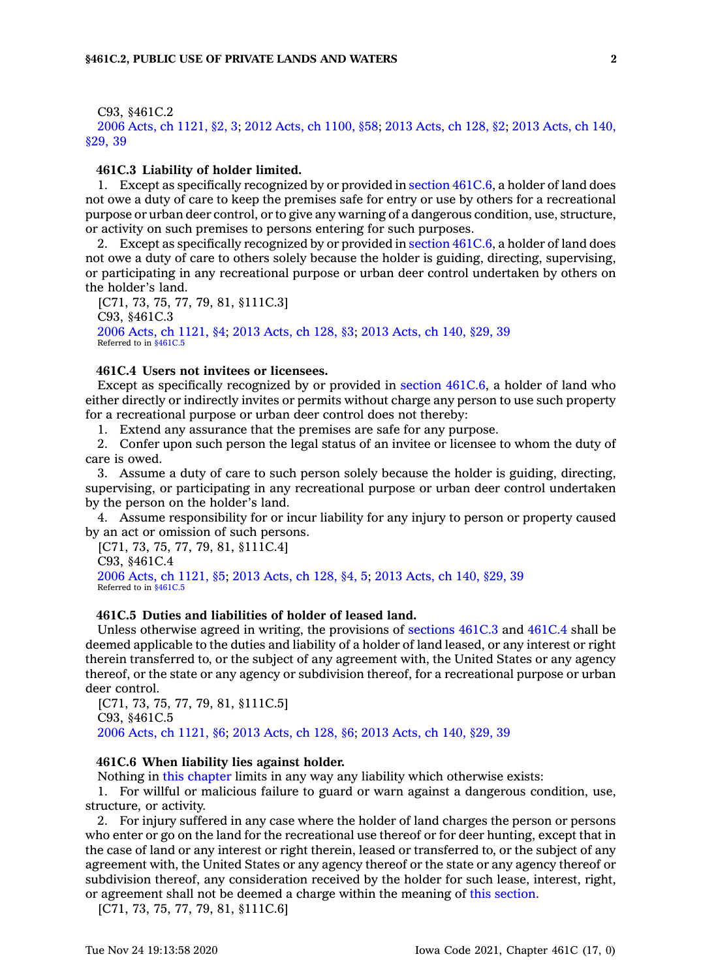#### C93, §461C.2

2006 Acts, ch [1121,](https://www.legis.iowa.gov/docs/acts/2006/CH1121.pdf) §2, 3; 2012 Acts, ch [1100,](https://www.legis.iowa.gov/docs/acts/2012/CH1100.pdf) §58; 2013 [Acts,](https://www.legis.iowa.gov/docs/acts/2013/CH0128.pdf) ch 128, §2; 2013 [Acts,](https://www.legis.iowa.gov/docs/acts/2013/CH0140.pdf) ch 140, [§29,](https://www.legis.iowa.gov/docs/acts/2013/CH0140.pdf) 39

# **461C.3 Liability of holder limited.**

1. Except as specifically recognized by or provided in section [461C.6](https://www.legis.iowa.gov/docs/code/461C.6.pdf), <sup>a</sup> holder of land does not owe <sup>a</sup> duty of care to keep the premises safe for entry or use by others for <sup>a</sup> recreational purpose or urban deer control, or to give any warning of <sup>a</sup> dangerous condition, use, structure, or activity on such premises to persons entering for such purposes.

2. Except as specifically recognized by or provided in section [461C.6](https://www.legis.iowa.gov/docs/code/461C.6.pdf), <sup>a</sup> holder of land does not owe <sup>a</sup> duty of care to others solely because the holder is guiding, directing, supervising, or participating in any recreational purpose or urban deer control undertaken by others on the holder's land.

[C71, 73, 75, 77, 79, 81, §111C.3] C93, §461C.3 2006 Acts, ch [1121,](https://www.legis.iowa.gov/docs/acts/2006/CH1121.pdf) §4; 2013 [Acts,](https://www.legis.iowa.gov/docs/acts/2013/CH0128.pdf) ch 128, §3; 2013 [Acts,](https://www.legis.iowa.gov/docs/acts/2013/CH0140.pdf) ch 140, §29, 39 Referred to in [§461C.5](https://www.legis.iowa.gov/docs/code/461C.5.pdf)

#### **461C.4 Users not invitees or licensees.**

Except as specifically recognized by or provided in section [461C.6](https://www.legis.iowa.gov/docs/code/461C.6.pdf), <sup>a</sup> holder of land who either directly or indirectly invites or permits without charge any person to use such property for <sup>a</sup> recreational purpose or urban deer control does not thereby:

1. Extend any assurance that the premises are safe for any purpose.

2. Confer upon such person the legal status of an invitee or licensee to whom the duty of care is owed.

3. Assume <sup>a</sup> duty of care to such person solely because the holder is guiding, directing, supervising, or participating in any recreational purpose or urban deer control undertaken by the person on the holder's land.

4. Assume responsibility for or incur liability for any injury to person or property caused by an act or omission of such persons.

[C71, 73, 75, 77, 79, 81, §111C.4]

C93, §461C.4 2006 Acts, ch [1121,](https://www.legis.iowa.gov/docs/acts/2006/CH1121.pdf) §5; 2013 [Acts,](https://www.legis.iowa.gov/docs/acts/2013/CH0128.pdf) ch 128, §4, 5; 2013 [Acts,](https://www.legis.iowa.gov/docs/acts/2013/CH0140.pdf) ch 140, §29, 39 Referred to in \$461C.

# **461C.5 Duties and liabilities of holder of leased land.**

Unless otherwise agreed in writing, the provisions of [sections](https://www.legis.iowa.gov/docs/code/461C.3.pdf) 461C.3 and [461C.4](https://www.legis.iowa.gov/docs/code/461C.4.pdf) shall be deemed applicable to the duties and liability of <sup>a</sup> holder of land leased, or any interest or right therein transferred to, or the subject of any agreement with, the United States or any agency thereof, or the state or any agency or subdivision thereof, for <sup>a</sup> recreational purpose or urban deer control.

[C71, 73, 75, 77, 79, 81, §111C.5] C93, §461C.5 2006 Acts, ch [1121,](https://www.legis.iowa.gov/docs/acts/2006/CH1121.pdf) §6; 2013 [Acts,](https://www.legis.iowa.gov/docs/acts/2013/CH0128.pdf) ch 128, §6; 2013 [Acts,](https://www.legis.iowa.gov/docs/acts/2013/CH0140.pdf) ch 140, §29, 39

#### **461C.6 When liability lies against holder.**

Nothing in this [chapter](https://www.legis.iowa.gov/docs/code//461C.pdf) limits in any way any liability which otherwise exists:

1. For willful or malicious failure to guard or warn against <sup>a</sup> dangerous condition, use, structure, or activity.

2. For injury suffered in any case where the holder of land charges the person or persons who enter or go on the land for the recreational use thereof or for deer hunting, except that in the case of land or any interest or right therein, leased or transferred to, or the subject of any agreement with, the United States or any agency thereof or the state or any agency thereof or subdivision thereof, any consideration received by the holder for such lease, interest, right, or agreement shall not be deemed <sup>a</sup> charge within the meaning of this [section](https://www.legis.iowa.gov/docs/code/461C.6.pdf).

[C71, 73, 75, 77, 79, 81, §111C.6]